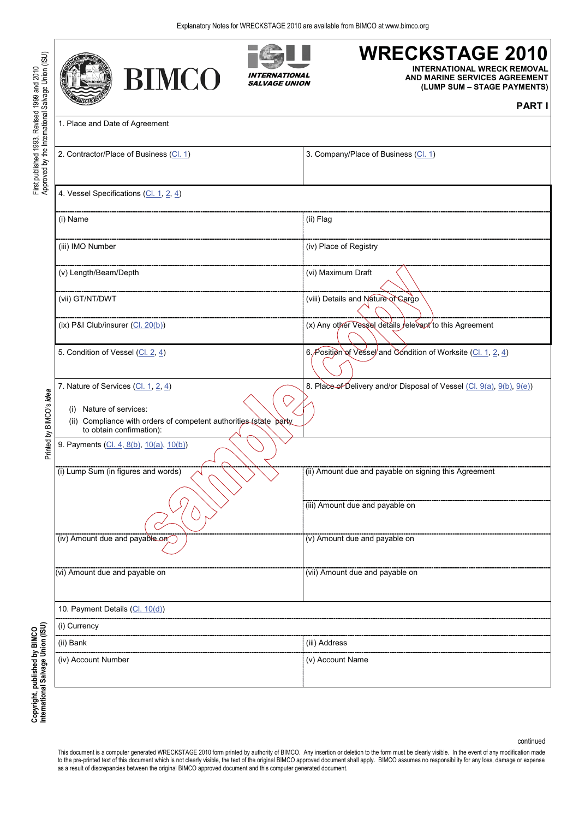Explanatory Notes for WRECKSTAGE 2010 are available from BIMCO at www.bimco.org

|           | <b>BIMCO</b><br><i><b>INTERNATIONAL</b></i><br><b>SALVAGE UNION</b>                                                                                    | <b>WRECKSTAGE 2010</b><br><b>INTERNATIONAL WRECK REMOVAL</b><br>AND MARINE SERVICES AGREEMENT<br>(LUMP SUM - STAGE PAYMENTS) |  |  |  |
|-----------|--------------------------------------------------------------------------------------------------------------------------------------------------------|------------------------------------------------------------------------------------------------------------------------------|--|--|--|
|           | 1. Place and Date of Agreement                                                                                                                         | <b>PARTI</b>                                                                                                                 |  |  |  |
|           | 2. Contractor/Place of Business (Cl. 1)                                                                                                                | 3. Company/Place of Business (Cl. 1)                                                                                         |  |  |  |
|           | 4. Vessel Specifications (Cl. 1, 2, 4)                                                                                                                 |                                                                                                                              |  |  |  |
| (i) Name  |                                                                                                                                                        | (ii) Flag                                                                                                                    |  |  |  |
|           | (iii) IMO Number                                                                                                                                       | (iv) Place of Registry                                                                                                       |  |  |  |
|           | (v) Length/Beam/Depth                                                                                                                                  | (vi) Maximum Draft                                                                                                           |  |  |  |
|           | (vii) GT/NT/DWT                                                                                                                                        | (viii) Details and Nature of Cargo                                                                                           |  |  |  |
|           | $(ix)$ P&I Club/insurer $(CL. 20(b))$                                                                                                                  | (x) Any other Vessel details relevant to this Agreement                                                                      |  |  |  |
|           | 5. Condition of Vessel (Cl. 2, 4)                                                                                                                      | 6. Position of Vessel and Condition of Worksite (Cl. 1, 2, 4)                                                                |  |  |  |
| (ii)      | 7. Nature of Services (Cl. 1, 2, 4)<br>Nature of services:<br>Compliance with orders of competent authorities (state party<br>to obtain confirmation): | 8. Place of Delivery and/or Disposal of Vessel (Cl. 9(a), 9(b), 9(e))                                                        |  |  |  |
|           | 9. Payments (Cl. 4, 8(b), 10(a), 10(b))                                                                                                                |                                                                                                                              |  |  |  |
|           | (i) Lump Sum (in figures and words)                                                                                                                    | (ii) Amount due and payable on signing this Agreement                                                                        |  |  |  |
|           |                                                                                                                                                        | (iii) Amount due and payable on                                                                                              |  |  |  |
|           | (iv) Amount due and payable on                                                                                                                         | (v) Amount due and payable on                                                                                                |  |  |  |
|           | (vi) Amount due and payable on                                                                                                                         | (vii) Amount due and payable on                                                                                              |  |  |  |
|           | 10. Payment Details (Cl. 10(d))                                                                                                                        |                                                                                                                              |  |  |  |
|           | (i) Currency                                                                                                                                           |                                                                                                                              |  |  |  |
| (ii) Bank |                                                                                                                                                        | (iii) Address                                                                                                                |  |  |  |
|           | (iv) Account Number                                                                                                                                    | (v) Account Name                                                                                                             |  |  |  |

continued

This document is a computer generated WRECKSTAGE 2010 form printed by authority of BIMCO. Any insertion or deletion to the form must be clearly visible. In the event of any modification made<br>to the pre-printed text of this as a result of discrepancies between the original BIMCO approved document and this computer generated document.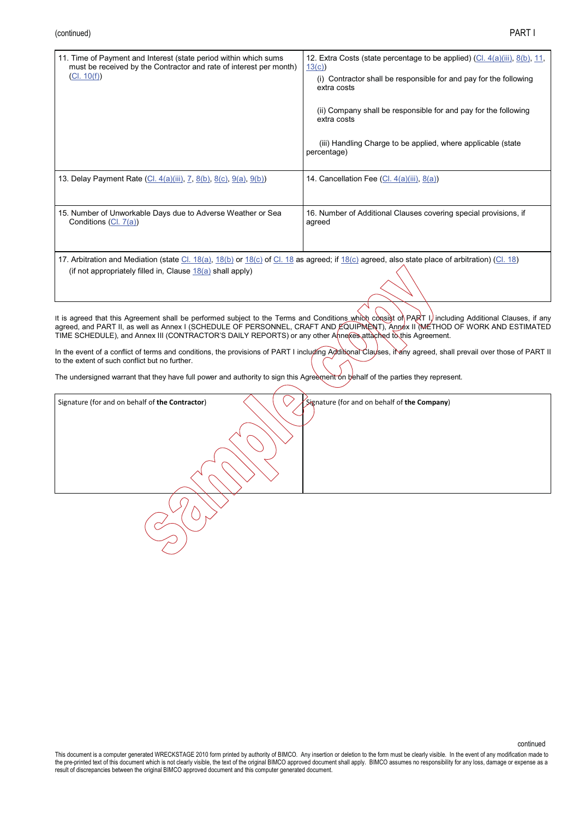continued

| 11. Time of Payment and Interest (state period within which sums<br>must be received by the Contractor and rate of interest per month)<br>(Cl. 10(f))                                                          | 12. Extra Costs (state percentage to be applied) $(Cl. 4(a)(iii), 8(b), 11,$<br>13(c)<br>(i) Contractor shall be responsible for and pay for the following<br>extra costs<br>(ii) Company shall be responsible for and pay for the following<br>extra costs<br>(iii) Handling Charge to be applied, where applicable (state)<br>percentage) |  |
|----------------------------------------------------------------------------------------------------------------------------------------------------------------------------------------------------------------|---------------------------------------------------------------------------------------------------------------------------------------------------------------------------------------------------------------------------------------------------------------------------------------------------------------------------------------------|--|
| 13. Delay Payment Rate (Cl. 4(a)(iii), 7, 8(b), 8(c), 9(a), 9(b))                                                                                                                                              | 14. Cancellation Fee (Cl. 4(a)(iii), 8(a))                                                                                                                                                                                                                                                                                                  |  |
| 15. Number of Unworkable Days due to Adverse Weather or Sea<br>Conditions $(Cl. 7(a))$                                                                                                                         | 16. Number of Additional Clauses covering special provisions, if<br>agreed                                                                                                                                                                                                                                                                  |  |
| 17. Arbitration and Mediation (state Cl. 18(a), 18(b) or 18(c) of Cl. 18 as agreed; if 18(c) agreed, also state place of arbitration) (Cl. 18)<br>(if not appropriately filled in, Clause $18(a)$ shall apply) |                                                                                                                                                                                                                                                                                                                                             |  |

It is agreed that this Agreement shall be performed subject to the Terms and Conditions which consist of PART I, including Additional Clauses, if any agreed, and PART II, as well as Annex I (SCHEDULE OF PERSONNEL, CRAFT AND EQUIPMENT), Annex II (METHOD OF WORK AND ESTIMATED TIME SCHEDULE), and Annex III (CONTRACTOR'S DAILY REPORTS) or any other Annexes attached to this Agreement.

In the event of a conflict of terms and conditions, the provisions of PART I including Additional Clauses, it any agreed, shall prevail over those of PART II to the extent of such conflict but no further.

The undersigned warrant that they have full power and authority to sign this Agreement on behalf of the parties they represent.

| Signature (for and on behalf of the Contractor) | Signature (for and on behalf of the Company) |
|-------------------------------------------------|----------------------------------------------|
|                                                 |                                              |
|                                                 |                                              |
|                                                 |                                              |
|                                                 |                                              |
| ▽                                               |                                              |
|                                                 |                                              |
|                                                 |                                              |

# This document is a computer generated WRECKSTAGE 2010 form printed by authority of BIMCO. Any insertion or deletion to the form must be clearly visible. In the event of any modification made to<br>the pre-printed text of this result of discrepancies between the original BIMCO approved document and this computer generated document.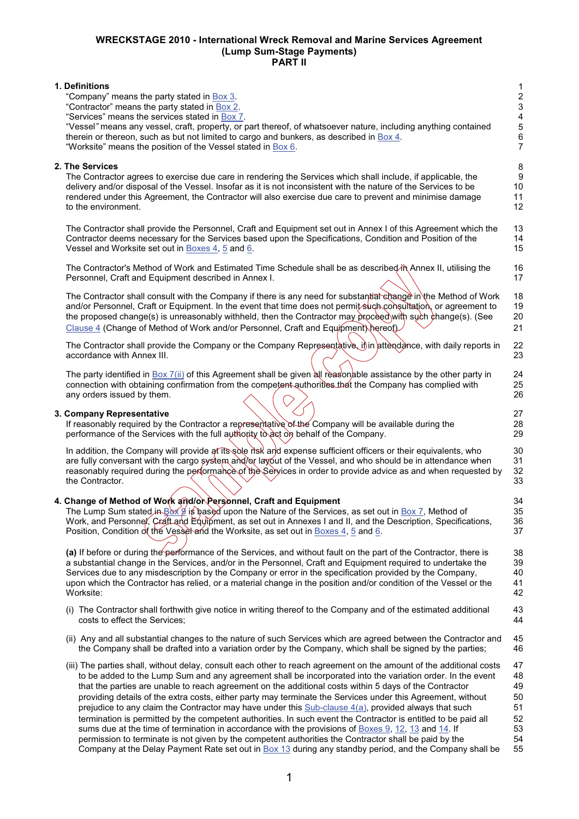| 1. Definitions<br>"Company" means the party stated in Box 3.<br>"Contractor" means the party stated in Box 2.<br>"Services" means the services stated in Box 7.<br>"Vessel" means any vessel, craft, property, or part thereof, of whatsoever nature, including anything contained<br>therein or thereon, such as but not limited to cargo and bunkers, as described in Box 4.<br>"Worksite" means the position of the Vessel stated in Box 6.                                                                                                                                                                                                                                                                                                                                                                                                                                                                                                                                                                           | 1<br>$\frac{2}{3}$<br>$\overline{\mathbf{4}}$<br>5<br>$\overline{6}$<br>$\overline{7}$ |
|--------------------------------------------------------------------------------------------------------------------------------------------------------------------------------------------------------------------------------------------------------------------------------------------------------------------------------------------------------------------------------------------------------------------------------------------------------------------------------------------------------------------------------------------------------------------------------------------------------------------------------------------------------------------------------------------------------------------------------------------------------------------------------------------------------------------------------------------------------------------------------------------------------------------------------------------------------------------------------------------------------------------------|----------------------------------------------------------------------------------------|
| 2. The Services<br>The Contractor agrees to exercise due care in rendering the Services which shall include, if applicable, the<br>delivery and/or disposal of the Vessel. Insofar as it is not inconsistent with the nature of the Services to be<br>rendered under this Agreement, the Contractor will also exercise due care to prevent and minimise damage<br>to the environment.                                                                                                                                                                                                                                                                                                                                                                                                                                                                                                                                                                                                                                    | 8<br>9<br>10<br>11<br>12                                                               |
| The Contractor shall provide the Personnel, Craft and Equipment set out in Annex I of this Agreement which the<br>Contractor deems necessary for the Services based upon the Specifications, Condition and Position of the<br>Vessel and Worksite set out in Boxes 4, 5 and 6.                                                                                                                                                                                                                                                                                                                                                                                                                                                                                                                                                                                                                                                                                                                                           | 13<br>14<br>15                                                                         |
| The Contractor's Method of Work and Estimated Time Schedule shall be as described in Annex II, utilising the<br>Personnel, Craft and Equipment described in Annex I.                                                                                                                                                                                                                                                                                                                                                                                                                                                                                                                                                                                                                                                                                                                                                                                                                                                     | 16<br>17                                                                               |
| The Contractor shall consult with the Company if there is any need for substantial change in the Method of Work<br>and/or Personnel, Craft or Equipment. In the event that time does not permit such consultation, or agreement to<br>the proposed change(s) is unreasonably withheld, then the Contractor may proceed with such change(s). (See<br>Clause 4 (Change of Method of Work and/or Personnel, Craft and Equipment) hereof).                                                                                                                                                                                                                                                                                                                                                                                                                                                                                                                                                                                   | 18<br>19<br>20<br>21                                                                   |
| The Contractor shall provide the Company or the Company Representative, if in attendance, with daily reports in<br>accordance with Annex III.                                                                                                                                                                                                                                                                                                                                                                                                                                                                                                                                                                                                                                                                                                                                                                                                                                                                            | 22<br>23                                                                               |
| The party identified in $\underline{Box 7(ii)}$ of this Agreement shall be given all reasonable assistance by the other party in<br>connection with obtaining confirmation from the competent authorities that the Company has complied with<br>any orders issued by them.                                                                                                                                                                                                                                                                                                                                                                                                                                                                                                                                                                                                                                                                                                                                               | 24<br>25<br>26                                                                         |
| 3. Company Representative<br>If reasonably required by the Contractor a representative of the Company will be available during the<br>performance of the Services with the full authority to act on behalf of the Company.                                                                                                                                                                                                                                                                                                                                                                                                                                                                                                                                                                                                                                                                                                                                                                                               | 27<br>28<br>29                                                                         |
| In addition, the Company will provide at its sole risk and expense sufficient officers or their equivalents, who<br>are fully conversant with the cargo system and/or layout of the Vessel, and who should be in attendance when<br>reasonably required during the performance of the Selvices in order to provide advice as and when requested by<br>the Contractor.                                                                                                                                                                                                                                                                                                                                                                                                                                                                                                                                                                                                                                                    | 30<br>31<br>32<br>33                                                                   |
| 4. Change of Method of Work and/or Personnel, Craft and Equipment<br>The Lump Sum stated in Box 9 is based upon the Nature of the Services, as set out in Box 7, Method of<br>Work, and Personnel, Craft and Equipment, as set out in Annexes I and II, and the Description, Specifications,<br>Position, Condition of the Vessel and the Worksite, as set out in Boxes 4, 5 and 6.                                                                                                                                                                                                                                                                                                                                                                                                                                                                                                                                                                                                                                      | 34<br>35<br>36<br>37                                                                   |
| (a) If before or during the performance of the Services, and without fault on the part of the Contractor, there is<br>a substantial change in the Services, and/or in the Personnel, Craft and Equipment required to undertake the<br>Services due to any misdescription by the Company or error in the specification provided by the Company,<br>upon which the Contractor has relied, or a material change in the position and/or condition of the Vessel or the<br>Worksite:                                                                                                                                                                                                                                                                                                                                                                                                                                                                                                                                          | 38<br>39<br>40<br>41<br>42                                                             |
| (i) The Contractor shall forthwith give notice in writing thereof to the Company and of the estimated additional<br>costs to effect the Services;                                                                                                                                                                                                                                                                                                                                                                                                                                                                                                                                                                                                                                                                                                                                                                                                                                                                        | 43<br>44                                                                               |
| (ii) Any and all substantial changes to the nature of such Services which are agreed between the Contractor and<br>the Company shall be drafted into a variation order by the Company, which shall be signed by the parties;                                                                                                                                                                                                                                                                                                                                                                                                                                                                                                                                                                                                                                                                                                                                                                                             | 45<br>46                                                                               |
| (iii) The parties shall, without delay, consult each other to reach agreement on the amount of the additional costs<br>to be added to the Lump Sum and any agreement shall be incorporated into the variation order. In the event<br>that the parties are unable to reach agreement on the additional costs within 5 days of the Contractor<br>providing details of the extra costs, either party may terminate the Services under this Agreement, without<br>prejudice to any claim the Contractor may have under this $Sub$ -clause $4(a)$ , provided always that such<br>termination is permitted by the competent authorities. In such event the Contractor is entitled to be paid all<br>sums due at the time of termination in accordance with the provisions of $Boxes 9$ , 12, 13 and 14. If<br>permission to terminate is not given by the competent authorities the Contractor shall be paid by the<br>Company at the Delay Payment Rate set out in Box 13 during any standby period, and the Company shall be | 47<br>48<br>49<br>50<br>51<br>52<br>53<br>54<br>55                                     |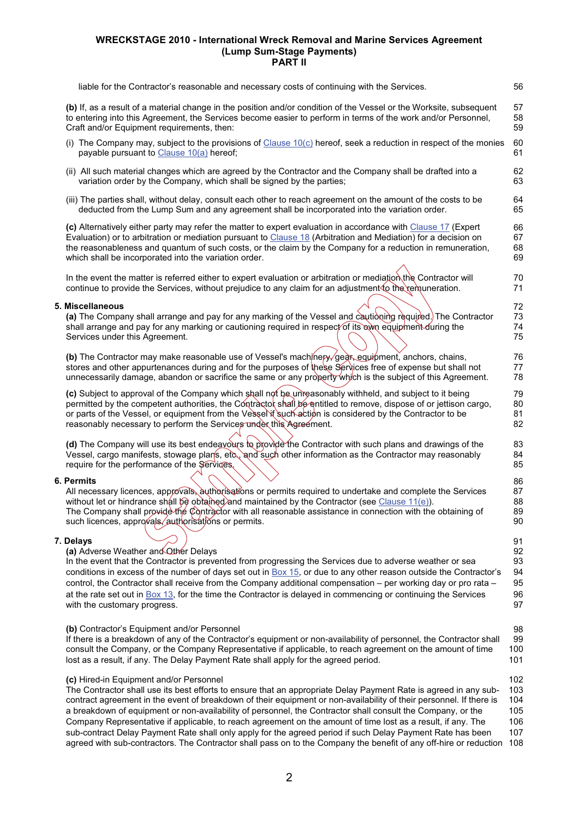| liable for the Contractor's reasonable and necessary costs of continuing with the Services.                                                                                                                                                                                                                                                                                                                                                                                                                                                                                                                                                                                                                                                          | 56                                            |
|------------------------------------------------------------------------------------------------------------------------------------------------------------------------------------------------------------------------------------------------------------------------------------------------------------------------------------------------------------------------------------------------------------------------------------------------------------------------------------------------------------------------------------------------------------------------------------------------------------------------------------------------------------------------------------------------------------------------------------------------------|-----------------------------------------------|
| (b) If, as a result of a material change in the position and/or condition of the Vessel or the Worksite, subsequent<br>to entering into this Agreement, the Services become easier to perform in terms of the work and/or Personnel,<br>Craft and/or Equipment requirements, then:                                                                                                                                                                                                                                                                                                                                                                                                                                                                   | 57<br>58<br><b>59</b>                         |
| (i) The Company may, subject to the provisions of $Clause 10(c)$ hereof, seek a reduction in respect of the monies<br>payable pursuant to Clause 10(a) hereof;                                                                                                                                                                                                                                                                                                                                                                                                                                                                                                                                                                                       | 60<br>61                                      |
| (ii) All such material changes which are agreed by the Contractor and the Company shall be drafted into a<br>variation order by the Company, which shall be signed by the parties;                                                                                                                                                                                                                                                                                                                                                                                                                                                                                                                                                                   | 62<br>63                                      |
| (iii) The parties shall, without delay, consult each other to reach agreement on the amount of the costs to be<br>deducted from the Lump Sum and any agreement shall be incorporated into the variation order.                                                                                                                                                                                                                                                                                                                                                                                                                                                                                                                                       | 64<br>65                                      |
| (c) Alternatively either party may refer the matter to expert evaluation in accordance with Clause 17 (Expert<br>Evaluation) or to arbitration or mediation pursuant to Clause 18 (Arbitration and Mediation) for a decision on<br>the reasonableness and quantum of such costs, or the claim by the Company for a reduction in remuneration,<br>which shall be incorporated into the variation order.                                                                                                                                                                                                                                                                                                                                               | 66<br>67<br>68<br>69                          |
| In the event the matter is referred either to expert evaluation or arbitration or mediation the Contractor will<br>continue to provide the Services, without prejudice to any claim for an adjustment to the remuneration.                                                                                                                                                                                                                                                                                                                                                                                                                                                                                                                           | 70<br>71                                      |
| 5. Miscellaneous<br>(a) The Company shall arrange and pay for any marking of the Vessel and cautioning required.) The Contractor<br>shall arrange and pay for any marking or cautioning required in respect of its own equipment during the<br>Services under this Agreement.                                                                                                                                                                                                                                                                                                                                                                                                                                                                        | 72<br>73<br>74<br>75                          |
| (b) The Contractor may make reasonable use of Vessel's machinery gear, equipment, anchors, chains,<br>stores and other appurtenances during and for the purposes of these Services free of expense but shall not<br>unnecessarily damage, abandon or sacrifice the same or any property which is the subject of this Agreement.                                                                                                                                                                                                                                                                                                                                                                                                                      | 76<br>77<br>78                                |
| (c) Subject to approval of the Company which shall not be unreasonably withheld, and subject to it being<br>permitted by the competent authorities, the Contractor shall be entitled to remove, dispose of or jettison cargo,<br>or parts of the Vessel, or equipment from the Vessel if such action is considered by the Contractor to be<br>reasonably necessary to perform the Services under this Agreement.                                                                                                                                                                                                                                                                                                                                     | <b>79</b><br>80<br>81<br>82                   |
| (d) The Company will use its best endeavours to provide the Contractor with such plans and drawings of the<br>Vessel, cargo manifests, stowage plans, etc., and such other information as the Contractor may reasonably<br>require for the performance of the Services.                                                                                                                                                                                                                                                                                                                                                                                                                                                                              | 83<br>84<br>85                                |
| 6. Permits<br>All necessary licences, approvals, authorisations or permits required to undertake and complete the Services<br>without let or hindrance shall be obtained and maintained by the Contractor (see Clause 11(e)).<br>The Company shall provide the Contractor with all reasonable assistance in connection with the obtaining of<br>such licences, approvals, authorisations or permits.                                                                                                                                                                                                                                                                                                                                                 | 86<br>87<br>88<br>89<br>90                    |
| 7. Delays<br>(a) Adverse Weather and Other Delays<br>In the event that the Contractor is prevented from progressing the Services due to adverse weather or sea<br>conditions in excess of the number of days set out in $Box 15$ , or due to any other reason outside the Contractor's<br>control, the Contractor shall receive from the Company additional compensation – per working day or pro rata –<br>at the rate set out in Box 13, for the time the Contractor is delayed in commencing or continuing the Services<br>with the customary progress.                                                                                                                                                                                           | 91<br>92<br>93<br>94<br>95<br>96<br>97        |
| (b) Contractor's Equipment and/or Personnel<br>If there is a breakdown of any of the Contractor's equipment or non-availability of personnel, the Contractor shall<br>consult the Company, or the Company Representative if applicable, to reach agreement on the amount of time<br>lost as a result, if any. The Delay Payment Rate shall apply for the agreed period.                                                                                                                                                                                                                                                                                                                                                                              | 98<br>99<br>10C<br>101                        |
| (c) Hired-in Equipment and/or Personnel<br>The Contractor shall use its best efforts to ensure that an appropriate Delay Payment Rate is agreed in any sub-<br>contract agreement in the event of breakdown of their equipment or non-availability of their personnel. If there is<br>a breakdown of equipment or non-availability of personnel, the Contractor shall consult the Company, or the<br>Company Representative if applicable, to reach agreement on the amount of time lost as a result, if any. The<br>sub-contract Delay Payment Rate shall only apply for the agreed period if such Delay Payment Rate has been<br>agreed with sub-contractors. The Contractor shall pass on to the Company the benefit of any off-hire or reduction | 102<br>103<br>104<br>105<br>106<br>107<br>108 |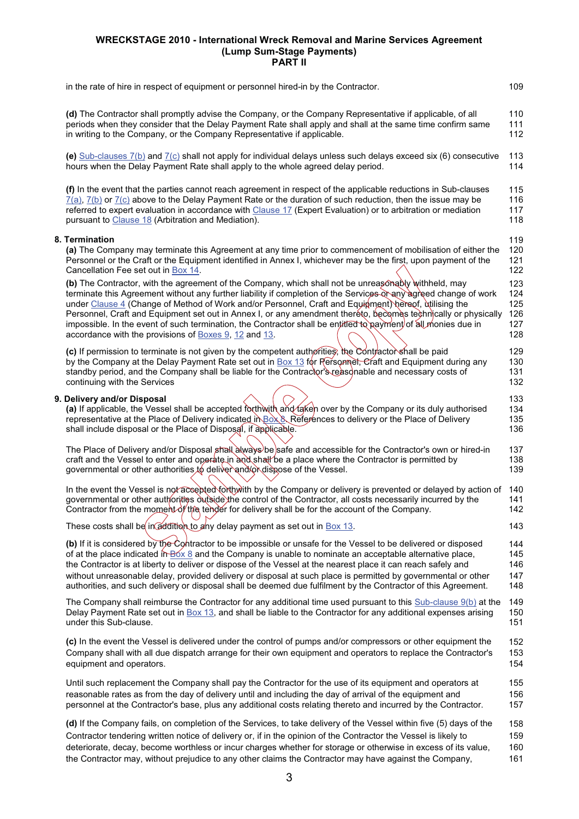| in the rate of hire in respect of equipment or personnel hired-in by the Contractor.                                                                                                                                                                                                                                                                                                                                                                                                                                                                                                                                                                                                                                                                                                                                                                                                                                       | 109                                                                |
|----------------------------------------------------------------------------------------------------------------------------------------------------------------------------------------------------------------------------------------------------------------------------------------------------------------------------------------------------------------------------------------------------------------------------------------------------------------------------------------------------------------------------------------------------------------------------------------------------------------------------------------------------------------------------------------------------------------------------------------------------------------------------------------------------------------------------------------------------------------------------------------------------------------------------|--------------------------------------------------------------------|
| (d) The Contractor shall promptly advise the Company, or the Company Representative if applicable, of all<br>periods when they consider that the Delay Payment Rate shall apply and shall at the same time confirm same<br>in writing to the Company, or the Company Representative if applicable.                                                                                                                                                                                                                                                                                                                                                                                                                                                                                                                                                                                                                         | 110<br>111<br>112                                                  |
| (e) $\frac{\text{Sub-clauses 7(b)}}{\text{sub-clauses 7(b)}}$ and $\frac{7(c)}{c}$ shall not apply for individual delays unless such delays exceed six (6) consecutive<br>hours when the Delay Payment Rate shall apply to the whole agreed delay period.                                                                                                                                                                                                                                                                                                                                                                                                                                                                                                                                                                                                                                                                  | 113<br>114                                                         |
| (f) In the event that the parties cannot reach agreement in respect of the applicable reductions in Sub-clauses<br>$7(a)$ , $7(b)$ or $7(c)$ above to the Delay Payment Rate or the duration of such reduction, then the issue may be<br>referred to expert evaluation in accordance with Clause 17 (Expert Evaluation) or to arbitration or mediation<br>pursuant to Clause 18 (Arbitration and Mediation).                                                                                                                                                                                                                                                                                                                                                                                                                                                                                                               | 115<br>116<br>117<br>118                                           |
| 8. Termination<br>(a) The Company may terminate this Agreement at any time prior to commencement of mobilisation of either the<br>Personnel or the Craft or the Equipment identified in Annex I, whichever may be the first, upon payment of the<br>Cancellation Fee set out in Box 14.<br>(b) The Contractor, with the agreement of the Company, which shall not be unreasonably withheld, may<br>terminate this Agreement without any further liability if completion of the Services of any agreed change of work<br>under Clause 4 (Change of Method of Work and/or Personnel, Craft and Equipment) hereof, utilising the<br>Personnel, Craft and Equipment set out in Annex I, or any amendment thereto, becomes technically or physically<br>impossible. In the event of such termination, the Contractor shall be entitled to payment of all monies due in<br>accordance with the provisions of Boxes 9, 12 and 13. | 119<br>120<br>121<br>122<br>123<br>124<br>125<br>126<br>127<br>128 |
| (c) If permission to terminate is not given by the competent authorities, the Contractor shall be paid<br>by the Company at the Delay Payment Rate set out in Box 13 for Rersonnel, Craft and Equipment during any<br>standby period, and the Company shall be liable for the Contractor's reasonable and necessary costs of<br>continuing with the Services                                                                                                                                                                                                                                                                                                                                                                                                                                                                                                                                                               | 129<br>130<br>131<br>132                                           |
| 9. Delivery and/or Disposal<br>(a) If applicable, the Vessel shall be accepted forthwith and faken over by the Company or its duly authorised<br>representative at the Place of Delivery indicated in Box & References to delivery or the Place of Delivery<br>shall include disposal or the Place of Disposal, if applicable.                                                                                                                                                                                                                                                                                                                                                                                                                                                                                                                                                                                             | 133<br>134<br>135<br>136                                           |
| The Place of Delivery and/or Disposal shall always be safe and accessible for the Contractor's own or hired-in<br>craft and the Vessel to enter and operate in and shall be a place where the Contractor is permitted by<br>governmental or other authorities to deliver and/or dispose of the Vessel.                                                                                                                                                                                                                                                                                                                                                                                                                                                                                                                                                                                                                     | 137<br>138<br>139                                                  |
| In the event the Vessel is not accepted torthwith by the Company or delivery is prevented or delayed by action of<br>governmental or other authorities outside the control of the Contractor, all costs necessarily incurred by the<br>Contractor from the moment of the tender for delivery shall be for the account of the Company.                                                                                                                                                                                                                                                                                                                                                                                                                                                                                                                                                                                      | 140<br>141<br>142                                                  |
| These costs shall be in addition to any delay payment as set out in Box 13.                                                                                                                                                                                                                                                                                                                                                                                                                                                                                                                                                                                                                                                                                                                                                                                                                                                | 143                                                                |
| (b) If it is considered by the Contractor to be impossible or unsafe for the Vessel to be delivered or disposed<br>of at the place indicated $\hat{i}r$ $\frac{166x}{8}$ and the Company is unable to nominate an acceptable alternative place,<br>the Contractor is at liberty to deliver or dispose of the Vessel at the nearest place it can reach safely and<br>without unreasonable delay, provided delivery or disposal at such place is permitted by governmental or other<br>authorities, and such delivery or disposal shall be deemed due fulfilment by the Contractor of this Agreement.                                                                                                                                                                                                                                                                                                                        | 144<br>145<br>146<br>147<br>148                                    |
| The Company shall reimburse the Contractor for any additional time used pursuant to this $Sub\text{-}clause 9(b)$ at the<br>Delay Payment Rate set out in Box 13, and shall be liable to the Contractor for any additional expenses arising<br>under this Sub-clause.                                                                                                                                                                                                                                                                                                                                                                                                                                                                                                                                                                                                                                                      | 149<br>150<br>151                                                  |
| (c) In the event the Vessel is delivered under the control of pumps and/or compressors or other equipment the<br>Company shall with all due dispatch arrange for their own equipment and operators to replace the Contractor's<br>equipment and operators.                                                                                                                                                                                                                                                                                                                                                                                                                                                                                                                                                                                                                                                                 | 152<br>153<br>154                                                  |
| Until such replacement the Company shall pay the Contractor for the use of its equipment and operators at<br>reasonable rates as from the day of delivery until and including the day of arrival of the equipment and<br>personnel at the Contractor's base, plus any additional costs relating thereto and incurred by the Contractor.                                                                                                                                                                                                                                                                                                                                                                                                                                                                                                                                                                                    | 155<br>156<br>157                                                  |
| (d) If the Company fails, on completion of the Services, to take delivery of the Vessel within five (5) days of the<br>Contractor tendering written notice of delivery or, if in the opinion of the Contractor the Vessel is likely to<br>deteriorate, decay, become worthless or incur charges whether for storage or otherwise in excess of its value,<br>the Contractor may, without prejudice to any other claims the Contractor may have against the Company,                                                                                                                                                                                                                                                                                                                                                                                                                                                         | 158<br>159<br>160<br>161                                           |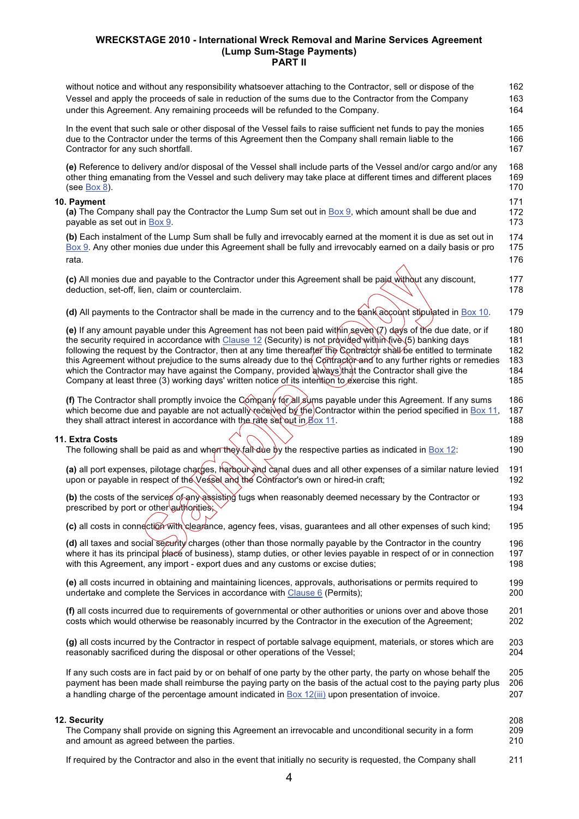| without notice and without any responsibility whatsoever attaching to the Contractor, sell or dispose of the<br>Vessel and apply the proceeds of sale in reduction of the sums due to the Contractor from the Company<br>under this Agreement. Any remaining proceeds will be refunded to the Company.                                                                                                                                                                                                                                                                                                                                                                             | 162<br>163<br>164                      |
|------------------------------------------------------------------------------------------------------------------------------------------------------------------------------------------------------------------------------------------------------------------------------------------------------------------------------------------------------------------------------------------------------------------------------------------------------------------------------------------------------------------------------------------------------------------------------------------------------------------------------------------------------------------------------------|----------------------------------------|
| In the event that such sale or other disposal of the Vessel fails to raise sufficient net funds to pay the monies<br>due to the Contractor under the terms of this Agreement then the Company shall remain liable to the<br>Contractor for any such shortfall.                                                                                                                                                                                                                                                                                                                                                                                                                     | 165<br>166<br>167                      |
| (e) Reference to delivery and/or disposal of the Vessel shall include parts of the Vessel and/or cargo and/or any<br>other thing emanating from the Vessel and such delivery may take place at different times and different places<br>(see Box 8).                                                                                                                                                                                                                                                                                                                                                                                                                                | 168<br>169<br><b>170</b>               |
| 10. Payment<br>(a) The Company shall pay the Contractor the Lump Sum set out in $\frac{Box}{2}$ , which amount shall be due and<br>payable as set out in Box 9.                                                                                                                                                                                                                                                                                                                                                                                                                                                                                                                    | 171<br>172<br>173                      |
| (b) Each instalment of the Lump Sum shall be fully and irrevocably earned at the moment it is due as set out in<br>Box 9. Any other monies due under this Agreement shall be fully and irrevocably earned on a daily basis or pro<br>rata.                                                                                                                                                                                                                                                                                                                                                                                                                                         | 174<br>175<br>176                      |
| (c) All monies due and payable to the Contractor under this Agreement shall be paid without any discount,<br>deduction, set-off, lien, claim or counterclaim.                                                                                                                                                                                                                                                                                                                                                                                                                                                                                                                      | 177<br>178                             |
| (d) All payments to the Contractor shall be made in the currency and to the bank account stipulated in Box 10.                                                                                                                                                                                                                                                                                                                                                                                                                                                                                                                                                                     | 179                                    |
| (e) If any amount payable under this Agreement has not been paid within seven (7) days of the due date, or if<br>the security required in accordance with Clause 12 (Security) is not provided within (ive (5) banking days<br>following the request by the Contractor, then at any time thereafter the Contractor shall be entitled to terminate<br>this Agreement without prejudice to the sums already due to the Contractor and to any further rights or remedies<br>which the Contractor may have against the Company, provided always that the Contractor shall give the<br>Company at least three (3) working days' written notice of its intention to exercise this right. | 180<br>181<br>182<br>183<br>184<br>185 |
| (f) The Contractor shall promptly invoice the Company for all sums payable under this Agreement. If any sums<br>which become due and payable are not actually received by the Contractor within the period specified in Box 11,<br>they shall attract interest in accordance with the rate set out in Box 11.                                                                                                                                                                                                                                                                                                                                                                      | 186<br>187<br>188                      |
| 11. Extra Costs<br>The following shall be paid as and when the stall due by the respective parties as indicated in $\frac{Box \times 12}{2}$ .                                                                                                                                                                                                                                                                                                                                                                                                                                                                                                                                     | 189<br>190                             |
| (a) all port expenses, pilotage charges, harbour and canal dues and all other expenses of a similar nature levied<br>upon or payable in respect of the Vessel and the Contractor's own or hired-in craft;                                                                                                                                                                                                                                                                                                                                                                                                                                                                          | 191<br>192                             |
| (b) the costs of the services of any assisting tugs when reasonably deemed necessary by the Contractor or<br>prescribed by port or other authorities;                                                                                                                                                                                                                                                                                                                                                                                                                                                                                                                              | 193<br>194                             |
| (c) all costs in connection with clearance, agency fees, visas, guarantees and all other expenses of such kind;                                                                                                                                                                                                                                                                                                                                                                                                                                                                                                                                                                    | 195                                    |
| (d) all taxes and social security charges (other than those normally payable by the Contractor in the country<br>where it has its principal place of business), stamp duties, or other levies payable in respect of or in connection<br>with this Agreement, any import - export dues and any customs or excise duties;                                                                                                                                                                                                                                                                                                                                                            | 196<br>197<br>198                      |
| (e) all costs incurred in obtaining and maintaining licences, approvals, authorisations or permits required to<br>undertake and complete the Services in accordance with Clause 6 (Permits);                                                                                                                                                                                                                                                                                                                                                                                                                                                                                       | 199<br>200                             |
| (f) all costs incurred due to requirements of governmental or other authorities or unions over and above those<br>costs which would otherwise be reasonably incurred by the Contractor in the execution of the Agreement;                                                                                                                                                                                                                                                                                                                                                                                                                                                          | 201<br>202                             |
| (g) all costs incurred by the Contractor in respect of portable salvage equipment, materials, or stores which are<br>reasonably sacrificed during the disposal or other operations of the Vessel;                                                                                                                                                                                                                                                                                                                                                                                                                                                                                  | 203<br>204                             |
| If any such costs are in fact paid by or on behalf of one party by the other party, the party on whose behalf the<br>payment has been made shall reimburse the paying party on the basis of the actual cost to the paying party plus<br>a handling charge of the percentage amount indicated in Box 12(iii) upon presentation of invoice.                                                                                                                                                                                                                                                                                                                                          | 205<br>206<br>207                      |
| 12. Security<br>The Company shall provide on signing this Agreement an irrevocable and unconditional security in a form<br>and amount as agreed between the parties.                                                                                                                                                                                                                                                                                                                                                                                                                                                                                                               | 208<br>209<br>210                      |

If required by the Contractor and also in the event that initially no security is requested, the Company shall 211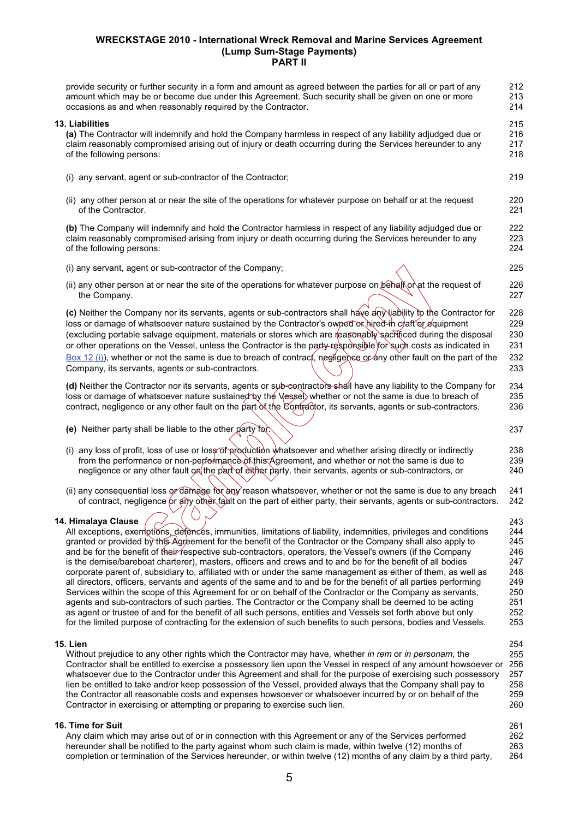| provide security or further security in a form and amount as agreed between the parties for all or part of any<br>amount which may be or become due under this Agreement. Such security shall be given on one or more<br>occasions as and when reasonably required by the Contractor.                                                                                                                                                                                                                                                                                                                                                                                                                                                                                                                                                                                                                                                                                                                                                                                                                                                                                                | 212<br>213<br>214                                                         |
|--------------------------------------------------------------------------------------------------------------------------------------------------------------------------------------------------------------------------------------------------------------------------------------------------------------------------------------------------------------------------------------------------------------------------------------------------------------------------------------------------------------------------------------------------------------------------------------------------------------------------------------------------------------------------------------------------------------------------------------------------------------------------------------------------------------------------------------------------------------------------------------------------------------------------------------------------------------------------------------------------------------------------------------------------------------------------------------------------------------------------------------------------------------------------------------|---------------------------------------------------------------------------|
| 13. Liabilities<br>(a) The Contractor will indemnify and hold the Company harmless in respect of any liability adjudged due or<br>claim reasonably compromised arising out of injury or death occurring during the Services hereunder to any<br>of the following persons:                                                                                                                                                                                                                                                                                                                                                                                                                                                                                                                                                                                                                                                                                                                                                                                                                                                                                                            | 215<br>216<br>217<br>218                                                  |
| (i) any servant, agent or sub-contractor of the Contractor;                                                                                                                                                                                                                                                                                                                                                                                                                                                                                                                                                                                                                                                                                                                                                                                                                                                                                                                                                                                                                                                                                                                          | 219                                                                       |
| (ii) any other person at or near the site of the operations for whatever purpose on behalf or at the request<br>of the Contractor.                                                                                                                                                                                                                                                                                                                                                                                                                                                                                                                                                                                                                                                                                                                                                                                                                                                                                                                                                                                                                                                   | 220<br>221                                                                |
| (b) The Company will indemnify and hold the Contractor harmless in respect of any liability adjudged due or<br>claim reasonably compromised arising from injury or death occurring during the Services hereunder to any<br>of the following persons:                                                                                                                                                                                                                                                                                                                                                                                                                                                                                                                                                                                                                                                                                                                                                                                                                                                                                                                                 | 222<br>223<br>224                                                         |
| (i) any servant, agent or sub-contractor of the Company;                                                                                                                                                                                                                                                                                                                                                                                                                                                                                                                                                                                                                                                                                                                                                                                                                                                                                                                                                                                                                                                                                                                             | 225                                                                       |
| (ii) any other person at or near the site of the operations for whatever purpose on behallor at the request of<br>the Company.                                                                                                                                                                                                                                                                                                                                                                                                                                                                                                                                                                                                                                                                                                                                                                                                                                                                                                                                                                                                                                                       | 226<br>227                                                                |
| (c) Neither the Company nor its servants, agents or sub-contractors shall have any liability to the Contractor for<br>loss or damage of whatsoever nature sustained by the Contractor's owned or hired-in craft or equipment<br>(excluding portable salvage equipment, materials or stores which are reasonably sachficed during the disposal<br>or other operations on the Vessel, unless the Contractor is the party-responsible for such costs as indicated in<br>Box 12 (i)), whether or not the same is due to breach of contract, neglige the or any other fault on the part of the<br>Company, its servants, agents or sub-contractors.                                                                                                                                                                                                                                                                                                                                                                                                                                                                                                                                       | 228<br>229<br><b>230</b><br>231<br>232<br>233                             |
| (d) Neither the Contractor nor its servants, agents or sub-contractors shall have any liability to the Company for<br>loss or damage of whatsoever nature sustained by the Vessel, whether or not the same is due to breach of<br>contract, negligence or any other fault on the part of the Contractor, its servants, agents or sub-contractors.                                                                                                                                                                                                                                                                                                                                                                                                                                                                                                                                                                                                                                                                                                                                                                                                                                    | 234<br>235<br>236                                                         |
| (e) Neither party shall be liable to the other party for.                                                                                                                                                                                                                                                                                                                                                                                                                                                                                                                                                                                                                                                                                                                                                                                                                                                                                                                                                                                                                                                                                                                            | 237                                                                       |
| (i) any loss of profit, loss of use or loss of production whatsoever and whether arising directly or indirectly<br>from the performance or non-performance of this Agreement, and whether or not the same is due to<br>negligence or any other fault on the part of either party, their servants, agents or sub-contractors, or                                                                                                                                                                                                                                                                                                                                                                                                                                                                                                                                                                                                                                                                                                                                                                                                                                                      | 238<br><b>239</b><br><b>240</b>                                           |
| (ii) any consequential loss or damage for any reason whatsoever, whether or not the same is due to any breach<br>of contract, negligence or any other fault on the part of either party, their servants, agents or sub-contractors.                                                                                                                                                                                                                                                                                                                                                                                                                                                                                                                                                                                                                                                                                                                                                                                                                                                                                                                                                  | 241<br>242                                                                |
| 14. Himalaya Clause<br>All exceptions, exemptions, defences, immunities, limitations of liability, indemnities, privileges and conditions<br>granted or provided by this Agreement for the benefit of the Contractor or the Company shall also apply to<br>and be for the benefit of their respective sub-contractors, operators, the Vessel's owners (if the Company<br>is the demise/bareboat charterer), masters, officers and crews and to and be for the benefit of all bodies<br>corporate parent of, subsidiary to, affiliated with or under the same management as either of them, as well as<br>all directors, officers, servants and agents of the same and to and be for the benefit of all parties performing<br>Services within the scope of this Agreement for or on behalf of the Contractor or the Company as servants,<br>agents and sub-contractors of such parties. The Contractor or the Company shall be deemed to be acting<br>as agent or trustee of and for the benefit of all such persons, entities and Vessels set forth above but only<br>for the limited purpose of contracting for the extension of such benefits to such persons, bodies and Vessels. | 243<br>244<br>245<br>246<br>247<br>248<br>249<br>25C<br>251<br>252<br>253 |
| 15. Lien<br>Without prejudice to any other rights which the Contractor may have, whether in rem or in personam, the<br>Contractor shall be entitled to exercise a possessory lien upon the Vessel in respect of any amount howsoever or<br>whatsoever due to the Contractor under this Agreement and shall for the purpose of exercising such possessory<br>lien be entitled to take and/or keep possession of the Vessel, provided always that the Company shall pay to<br>the Contractor all reasonable costs and expenses howsoever or whatsoever incurred by or on behalf of the<br>Contractor in exercising or attempting or preparing to exercise such lien.                                                                                                                                                                                                                                                                                                                                                                                                                                                                                                                   | 254<br>255<br>256<br>257<br>258<br>259<br><b>260</b>                      |
| 16. Time for Suit<br>Any claim which may arise out of or in connection with this Agreement or any of the Services performed<br>hereunder shall be notified to the party against whom such claim is made, within twelve (12) months of<br>completion or termination of the Services hereunder, or within twelve (12) months of any claim by a third party,                                                                                                                                                                                                                                                                                                                                                                                                                                                                                                                                                                                                                                                                                                                                                                                                                            | 261<br>262<br>263<br>264                                                  |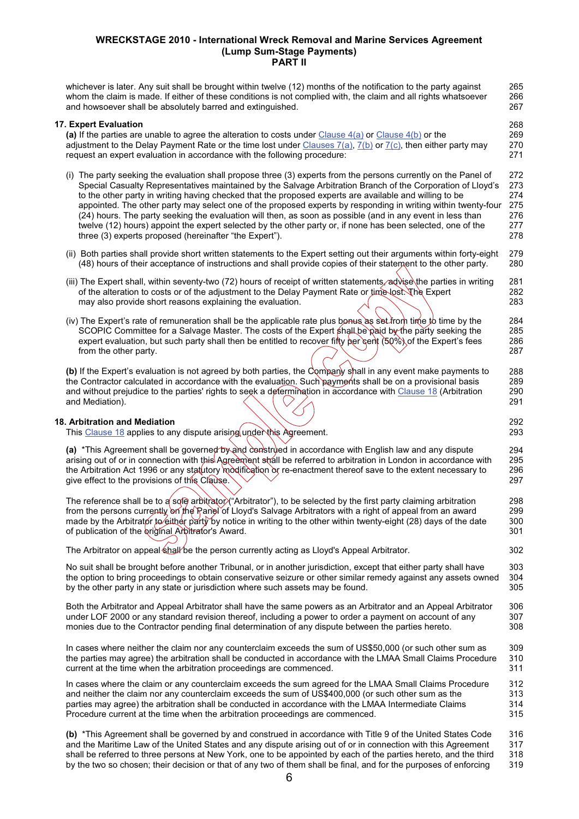| whichever is later. Any suit shall be brought within twelve (12) months of the notification to the party against<br>whom the claim is made. If either of these conditions is not complied with, the claim and all rights whatsoever<br>and howsoever shall be absolutely barred and extinguished.                                                                                                                                                                                                                                                                                                                                                                                                                                                | 265<br>266<br>267                             |
|--------------------------------------------------------------------------------------------------------------------------------------------------------------------------------------------------------------------------------------------------------------------------------------------------------------------------------------------------------------------------------------------------------------------------------------------------------------------------------------------------------------------------------------------------------------------------------------------------------------------------------------------------------------------------------------------------------------------------------------------------|-----------------------------------------------|
| 17. Expert Evaluation<br>(a) If the parties are unable to agree the alteration to costs under Clause $4(a)$ or Clause $4(b)$ or the<br>adjustment to the Delay Payment Rate or the time lost under Clauses $7(a)$ , $7(b)$ or $7(c)$ , then either party may<br>request an expert evaluation in accordance with the following procedure:                                                                                                                                                                                                                                                                                                                                                                                                         | 268<br>269<br>270<br>271                      |
| (i) The party seeking the evaluation shall propose three (3) experts from the persons currently on the Panel of<br>Special Casualty Representatives maintained by the Salvage Arbitration Branch of the Corporation of Lloyd's<br>to the other party in writing having checked that the proposed experts are available and willing to be<br>appointed. The other party may select one of the proposed experts by responding in writing within twenty-four<br>(24) hours. The party seeking the evaluation will then, as soon as possible (and in any event in less than<br>twelve (12) hours) appoint the expert selected by the other party or, if none has been selected, one of the<br>three (3) experts proposed (hereinafter "the Expert"). | 272<br>273<br>274<br>275<br>276<br>277<br>278 |
| (ii) Both parties shall provide short written statements to the Expert setting out their arguments within forty-eight<br>(48) hours of their acceptance of instructions and shall provide copies of their statement to the other party.                                                                                                                                                                                                                                                                                                                                                                                                                                                                                                          | 279<br><b>280</b>                             |
| (iii) The Expert shall, within seventy-two (72) hours of receipt of written statements, advise the parties in writing<br>of the alteration to costs or of the adjustment to the Delay Payment Rate or time lost. The Expert<br>may also provide short reasons explaining the evaluation.                                                                                                                                                                                                                                                                                                                                                                                                                                                         | 281<br>282<br>283                             |
| (iv) The Expert's rate of remuneration shall be the applicable rate plus bonus as set from time to time by the<br>SCOPIC Committee for a Salvage Master. The costs of the Expert shall be paid by the party seeking the<br>expert evaluation, but such party shall then be entitled to recover fifty per cent (50%) of the Expert's fees<br>from the other party.                                                                                                                                                                                                                                                                                                                                                                                | 284<br>285<br>286<br>287                      |
| (b) If the Expert's evaluation is not agreed by both parties, the Company shall in any event make payments to<br>the Contractor calculated in accordance with the evaluation. Such payments shall be on a provisional basis<br>and without prejudice to the parties' rights to seek a determination in accordance with Clause 18 (Arbitration<br>and Mediation).                                                                                                                                                                                                                                                                                                                                                                                 | 288<br>289<br>290<br>291                      |
| <b>18. Arbitration and Mediation</b><br>This Clause 18 applies to any dispute arising under this Agreement.                                                                                                                                                                                                                                                                                                                                                                                                                                                                                                                                                                                                                                      | 292<br>293                                    |
| (a) *This Agreement shall be governed by and construed in accordance with English law and any dispute<br>arising out of or in connection with this Agreement strall be referred to arbitration in London in accordance with<br>the Arbitration Act 1996 or any statutory modification or re-enactment thereof save to the extent necessary to<br>give effect to the provisions of this Clause.                                                                                                                                                                                                                                                                                                                                                   | 294<br>295<br>296<br>297                      |
| The reference shall be to a sole arbitrator ("Arbitrator"), to be selected by the first party claiming arbitration<br>from the persons currently on the Ranel of Lloyd's Salvage Arbitrators with a right of appeal from an award<br>made by the Arbitrator to either party by notice in writing to the other within twenty-eight (28) days of the date<br>of publication of the original Arbitrator's Award.                                                                                                                                                                                                                                                                                                                                    | 298<br><b>299</b><br>300<br>301               |
| The Arbitrator on appeal shall be the person currently acting as Lloyd's Appeal Arbitrator.                                                                                                                                                                                                                                                                                                                                                                                                                                                                                                                                                                                                                                                      | 302                                           |
| No suit shall be brought before another Tribunal, or in another jurisdiction, except that either party shall have<br>the option to bring proceedings to obtain conservative seizure or other similar remedy against any assets owned<br>by the other party in any state or jurisdiction where such assets may be found.                                                                                                                                                                                                                                                                                                                                                                                                                          | 303<br>304<br>305                             |
| Both the Arbitrator and Appeal Arbitrator shall have the same powers as an Arbitrator and an Appeal Arbitrator<br>under LOF 2000 or any standard revision thereof, including a power to order a payment on account of any<br>monies due to the Contractor pending final determination of any dispute between the parties hereto.                                                                                                                                                                                                                                                                                                                                                                                                                 | 306<br>307<br>308                             |
| In cases where neither the claim nor any counterclaim exceeds the sum of US\$50,000 (or such other sum as<br>the parties may agree) the arbitration shall be conducted in accordance with the LMAA Small Claims Procedure<br>current at the time when the arbitration proceedings are commenced.                                                                                                                                                                                                                                                                                                                                                                                                                                                 | 30 <sup>c</sup><br>31 <sub>C</sub><br>311     |
|                                                                                                                                                                                                                                                                                                                                                                                                                                                                                                                                                                                                                                                                                                                                                  | 312                                           |
| In cases where the claim or any counterclaim exceeds the sum agreed for the LMAA Small Claims Procedure<br>and neither the claim nor any counterclaim exceeds the sum of US\$400,000 (or such other sum as the<br>parties may agree) the arbitration shall be conducted in accordance with the LMAA Intermediate Claims<br>Procedure current at the time when the arbitration proceedings are commenced.                                                                                                                                                                                                                                                                                                                                         | 313<br>314<br>315                             |

shall be referred to three persons at New York, one to be appointed by each of the parties hereto, and the third 318<br>by the two so chosen; their decision or that of any two of them shall be final, and for the purposes of e by the two so chosen; their decision or that of any two of them shall be final, and for the purposes of enforcing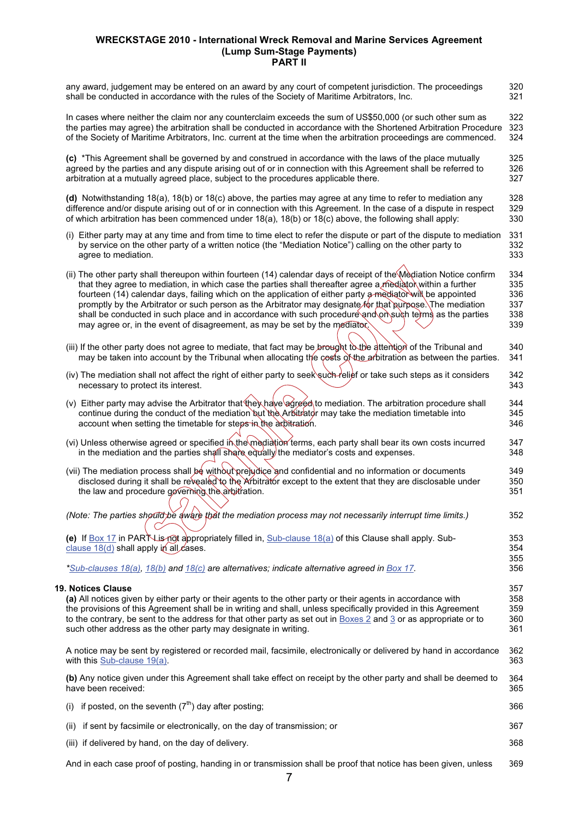| any award, judgement may be entered on an award by any court of competent jurisdiction. The proceedings<br>shall be conducted in accordance with the rules of the Society of Maritime Arbitrators, Inc.                                                                                                                                                                                                                                                                                                                                                                                                                                              | 320<br>321                             |
|------------------------------------------------------------------------------------------------------------------------------------------------------------------------------------------------------------------------------------------------------------------------------------------------------------------------------------------------------------------------------------------------------------------------------------------------------------------------------------------------------------------------------------------------------------------------------------------------------------------------------------------------------|----------------------------------------|
| In cases where neither the claim nor any counterclaim exceeds the sum of US\$50,000 (or such other sum as<br>the parties may agree) the arbitration shall be conducted in accordance with the Shortened Arbitration Procedure<br>of the Society of Maritime Arbitrators, Inc. current at the time when the arbitration proceedings are commenced.                                                                                                                                                                                                                                                                                                    | 322<br>323<br>324                      |
| (c) *This Agreement shall be governed by and construed in accordance with the laws of the place mutually<br>agreed by the parties and any dispute arising out of or in connection with this Agreement shall be referred to<br>arbitration at a mutually agreed place, subject to the procedures applicable there.                                                                                                                                                                                                                                                                                                                                    | 325<br>326<br>327                      |
| (d) Notwithstanding 18(a), 18(b) or 18(c) above, the parties may agree at any time to refer to mediation any<br>difference and/or dispute arising out of or in connection with this Agreement. In the case of a dispute in respect<br>of which arbitration has been commenced under 18(a), 18(b) or 18(c) above, the following shall apply:                                                                                                                                                                                                                                                                                                          | 328<br>329<br>330                      |
| (i) Either party may at any time and from time to time elect to refer the dispute or part of the dispute to mediation<br>by service on the other party of a written notice (the "Mediation Notice") calling on the other party to<br>agree to mediation.                                                                                                                                                                                                                                                                                                                                                                                             | 331<br>332<br>333                      |
| (ii) The other party shall thereupon within fourteen (14) calendar days of receipt of the Mediation Notice confirm<br>that they agree to mediation, in which case the parties shall thereafter agree a mediator within a further<br>fourteen (14) calendar days, failing which on the application of either party a mediator will be appointed<br>promptly by the Arbitrator or such person as the Arbitrator may designate for that purpose. The mediation<br>shall be conducted in such place and in accordance with such procedure and on such terms as the parties<br>may agree or, in the event of disagreement, as may be set by the mediator. | 334<br>335<br>336<br>337<br>338<br>339 |
| (iii) If the other party does not agree to mediate, that fact may be brought to the attention of the Tribunal and<br>may be taken into account by the Tribunal when allocating the costs of the arbitration as between the parties.                                                                                                                                                                                                                                                                                                                                                                                                                  | 340<br>341                             |
| (iv) The mediation shall not affect the right of either party to seek such relief or take such steps as it considers<br>necessary to protect its interest.                                                                                                                                                                                                                                                                                                                                                                                                                                                                                           | 342<br>343                             |
| (v) Either party may advise the Arbitrator that they have agreed to mediation. The arbitration procedure shall<br>continue during the conduct of the mediation but the Arbitrator may take the mediation timetable into<br>account when setting the timetable for steps in the arbitration.                                                                                                                                                                                                                                                                                                                                                          | 344<br>345<br>346                      |
| (vi) Unless otherwise agreed or specified in the mediation terms, each party shall bear its own costs incurred<br>in the mediation and the parties shall share equally the mediator's costs and expenses.                                                                                                                                                                                                                                                                                                                                                                                                                                            | 347<br>348                             |
| (vii) The mediation process shall be without prejudice and confidential and no information or documents<br>disclosed during it shall be revealed to the Arbitrator except to the extent that they are disclosable under<br>the law and procedure governing the arbitration.                                                                                                                                                                                                                                                                                                                                                                          | 349<br>350<br>351                      |
| (Note: The parties shøuld be aware that the mediation process may not necessarily interrupt time limits.)                                                                                                                                                                                                                                                                                                                                                                                                                                                                                                                                            | 352                                    |
| (e) If $Box 17$ in PART List of appropriately filled in, Sub-clause $18(a)$ of this Clause shall apply. Sub-<br>clause $18(d)$ shall apply in all cases.                                                                                                                                                                                                                                                                                                                                                                                                                                                                                             | 353<br>354<br>355                      |
| *Sub-clauses 18(a), 18(b) and 18(c) are alternatives; indicate alternative agreed in Box 17.                                                                                                                                                                                                                                                                                                                                                                                                                                                                                                                                                         | 356                                    |
| 19. Notices Clause<br>(a) All notices given by either party or their agents to the other party or their agents in accordance with<br>the provisions of this Agreement shall be in writing and shall, unless specifically provided in this Agreement<br>to the contrary, be sent to the address for that other party as set out in $\frac{Boxes}{2}$ and $\frac{3}{2}$ or as appropriate or to<br>such other address as the other party may designate in writing.                                                                                                                                                                                     | 357<br>358<br>359<br>360<br>361        |
| A notice may be sent by registered or recorded mail, facsimile, electronically or delivered by hand in accordance<br>with this Sub-clause 19(a).                                                                                                                                                                                                                                                                                                                                                                                                                                                                                                     | 362<br>363                             |
| (b) Any notice given under this Agreement shall take effect on receipt by the other party and shall be deemed to<br>have been received:                                                                                                                                                                                                                                                                                                                                                                                                                                                                                                              | 364<br>365                             |
| if posted, on the seventh $(7th)$ day after posting;<br>(i)                                                                                                                                                                                                                                                                                                                                                                                                                                                                                                                                                                                          | 366                                    |
| if sent by facsimile or electronically, on the day of transmission; or<br>(ii)                                                                                                                                                                                                                                                                                                                                                                                                                                                                                                                                                                       | 367                                    |
| (iii) if delivered by hand, on the day of delivery.                                                                                                                                                                                                                                                                                                                                                                                                                                                                                                                                                                                                  | 368                                    |

And in each case proof of posting, handing in or transmission shall be proof that notice has been given, unless 369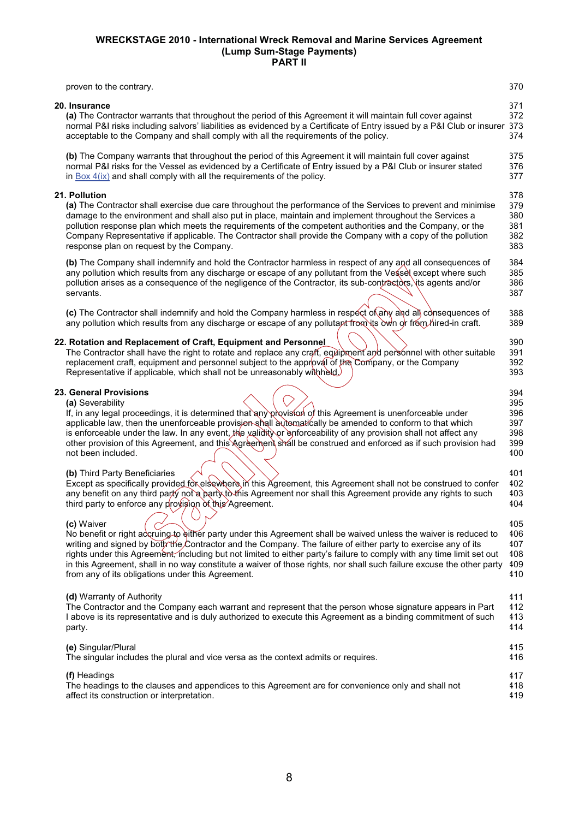| proven to the contrary.                                                                                                                                                                                                                                                                                                                                                                                                                                                                                                                                  | 370                                           |
|----------------------------------------------------------------------------------------------------------------------------------------------------------------------------------------------------------------------------------------------------------------------------------------------------------------------------------------------------------------------------------------------------------------------------------------------------------------------------------------------------------------------------------------------------------|-----------------------------------------------|
| 20. Insurance<br>(a) The Contractor warrants that throughout the period of this Agreement it will maintain full cover against<br>normal P&I risks including salvors' liabilities as evidenced by a Certificate of Entry issued by a P&I Club or insurer 373<br>acceptable to the Company and shall comply with all the requirements of the policy.                                                                                                                                                                                                       | 371<br>372<br>374                             |
| (b) The Company warrants that throughout the period of this Agreement it will maintain full cover against<br>normal P&I risks for the Vessel as evidenced by a Certificate of Entry issued by a P&I Club or insurer stated<br>in $\frac{Box 4(ix)}{diag 4(x)}$ and shall comply with all the requirements of the policy.                                                                                                                                                                                                                                 | 375<br>376<br>377                             |
| 21. Pollution<br>(a) The Contractor shall exercise due care throughout the performance of the Services to prevent and minimise<br>damage to the environment and shall also put in place, maintain and implement throughout the Services a<br>pollution response plan which meets the requirements of the competent authorities and the Company, or the<br>Company Representative if applicable. The Contractor shall provide the Company with a copy of the pollution<br>response plan on request by the Company.                                        | 378<br>379<br>380<br>381<br>382<br>383        |
| (b) The Company shall indemnify and hold the Contractor harmless in respect of any and all consequences of<br>any pollution which results from any discharge or escape of any pollutant from the Vessel except where such<br>pollution arises as a consequence of the negligence of the Contractor, its sub-contractors, its agents and/or<br>servants.                                                                                                                                                                                                  | 384<br>385<br>386<br>387                      |
| (c) The Contractor shall indemnify and hold the Company harmless in respect of any and all consequences of<br>any pollution which results from any discharge or escape of any pollutant from its own or from hired-in craft.                                                                                                                                                                                                                                                                                                                             | 388<br>389                                    |
| 22. Rotation and Replacement of Craft, Equipment and Personnel<br>The Contractor shall have the right to rotate and replace any craff, equipment and personnel with other suitable<br>replacement craft, equipment and personnel subject to the approval of the Company, or the Company<br>Representative if applicable, which shall not be unreasonably with held.                                                                                                                                                                                      | 390<br>391<br>392<br>393                      |
| 23. General Provisions<br>(a) Severability<br>If, in any legal proceedings, it is determined that any provision of this Agreement is unenforceable under<br>applicable law, then the unenforceable provision shall automatically be amended to conform to that which<br>is enforceable under the law. In any event, the validity or enforceability of any provision shall not affect any<br>other provision of this Agreement, and this Agreement shall be construed and enforced as if such provision had<br>not been included.                         | 394<br>395<br>396<br>397<br>398<br>399<br>400 |
| (b) Third Party Beneficiaries<br>Except as specifically provided for elsewhere in this Agreement, this Agreement shall not be construed to confer<br>any benefit on any third party not a party to this Agreement nor shall this Agreement provide any rights to such<br>third party to enforce any provision of this Agreement.                                                                                                                                                                                                                         | 401<br>402<br>403<br>404                      |
| (c) Waiver<br>No benefit or right accruing to either party under this Agreement shall be waived unless the waiver is reduced to<br>writing and signed by both the Contractor and the Company. The failure of either party to exercise any of its<br>rights under this Agreement, including but not limited to either party's failure to comply with any time limit set out<br>in this Agreement, shall in no way constitute a waiver of those rights, nor shall such failure excuse the other party<br>from any of its obligations under this Agreement. | 405<br>406<br>407<br>408<br>409<br>410        |
| (d) Warranty of Authority<br>The Contractor and the Company each warrant and represent that the person whose signature appears in Part<br>I above is its representative and is duly authorized to execute this Agreement as a binding commitment of such<br>party.                                                                                                                                                                                                                                                                                       | 411<br>412<br>413<br>414                      |
| (e) Singular/Plural<br>The singular includes the plural and vice versa as the context admits or requires.                                                                                                                                                                                                                                                                                                                                                                                                                                                | 415<br>416                                    |
| (f) Headings<br>The headings to the clauses and appendices to this Agreement are for convenience only and shall not<br>affect its construction or interpretation.                                                                                                                                                                                                                                                                                                                                                                                        | 417<br>418<br>419                             |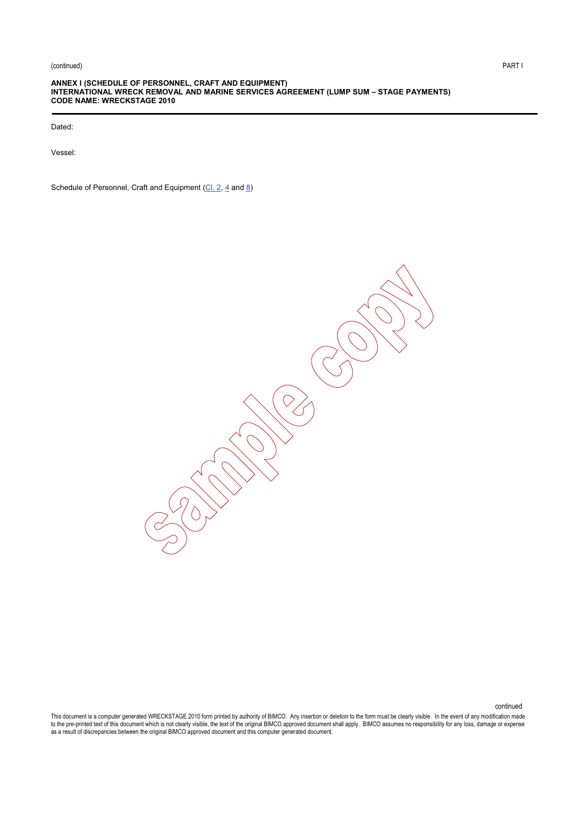(continued) PART I

#### **ANNEX I (SCHEDULE OF PERSONNEL, CRAFT AND EQUIPMENT) INTERNATIONAL WRECK REMOVAL AND MARINE SERVICES AGREEMENT (LUMP SUM – STAGE PAYMENTS) CODE NAME: WRECKSTAGE 2010**

Dated:

Vessel:

Schedule of Personnel, Craft and Equipment (Cl. 2, 4 and 8)

continued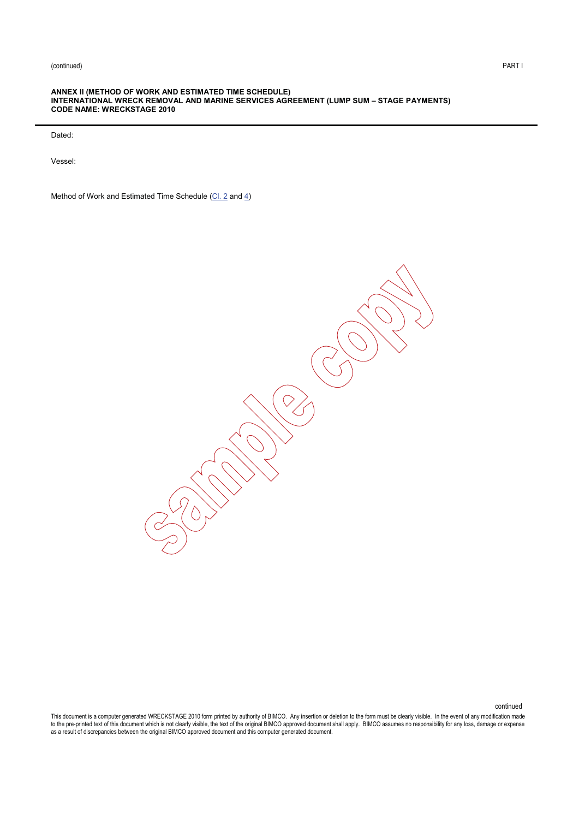(continued) PART I

#### **ANNEX II (METHOD OF WORK AND ESTIMATED TIME SCHEDULE) INTERNATIONAL WRECK REMOVAL AND MARINE SERVICES AGREEMENT (LUMP SUM – STAGE PAYMENTS) CODE NAME: WRECKSTAGE 2010**

Dated:

Vessel:

Method of Work and Estimated Time Schedule (Cl. 2 and 4)



continued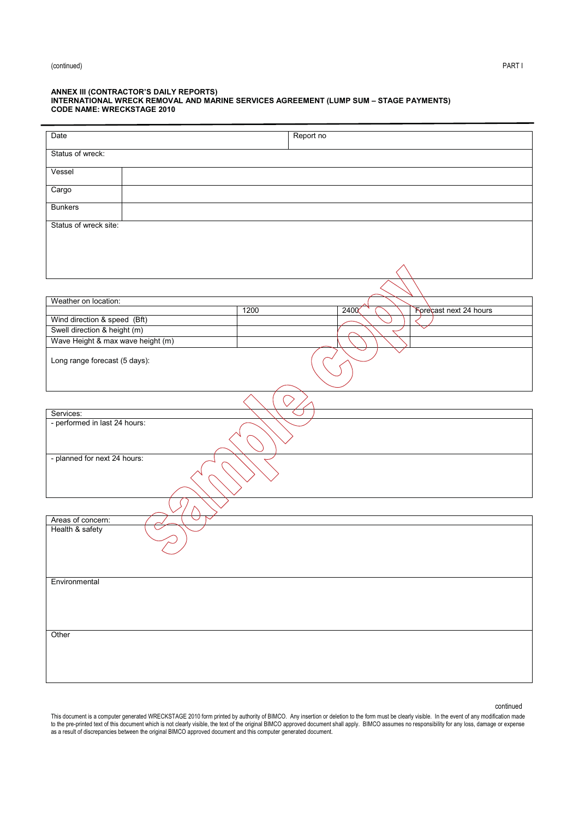#### **ANNEX III (CONTRACTOR'S DAILY REPORTS) INTERNATIONAL WRECK REMOVAL AND MARINE SERVICES AGREEMENT (LUMP SUM – STAGE PAYMENTS) CODE NAME: WRECKSTAGE 2010**

| Date                              |      | Report no |                  |                        |
|-----------------------------------|------|-----------|------------------|------------------------|
| Status of wreck:                  |      |           |                  |                        |
| Vessel                            |      |           |                  |                        |
| Cargo                             |      |           |                  |                        |
| <b>Bunkers</b>                    |      |           |                  |                        |
| Status of wreck site:             |      |           |                  |                        |
|                                   |      |           |                  |                        |
|                                   |      |           |                  |                        |
|                                   |      |           |                  |                        |
| Weather on location:              |      |           |                  |                        |
|                                   | 1200 |           | 240 <sub>0</sub> | Forecast next 24 hours |
| Wind direction & speed (Bft)      |      |           |                  |                        |
| Swell direction & height (m)      |      |           |                  |                        |
| Wave Height & max wave height (m) |      |           |                  |                        |
|                                   |      |           |                  |                        |
| Long range forecast (5 days):     |      |           |                  |                        |
|                                   |      |           |                  |                        |
|                                   |      |           |                  |                        |
| Services:                         |      |           |                  |                        |
| - performed in last 24 hours:     |      |           |                  |                        |
|                                   |      |           |                  |                        |
|                                   |      |           |                  |                        |
| - planned for next 24 hours:      |      |           |                  |                        |
|                                   |      |           |                  |                        |
|                                   |      |           |                  |                        |
|                                   |      |           |                  |                        |
|                                   |      |           |                  |                        |
|                                   |      |           |                  |                        |
| Areas of concern:                 |      |           |                  |                        |
| Health & safety                   |      |           |                  |                        |
|                                   |      |           |                  |                        |
|                                   |      |           |                  |                        |
|                                   |      |           |                  |                        |
|                                   |      |           |                  |                        |
| Environmental                     |      |           |                  |                        |
|                                   |      |           |                  |                        |
|                                   |      |           |                  |                        |
|                                   |      |           |                  |                        |
|                                   |      |           |                  |                        |
|                                   |      |           |                  |                        |
| Other                             |      |           |                  |                        |
|                                   |      |           |                  |                        |
|                                   |      |           |                  |                        |
|                                   |      |           |                  |                        |
|                                   |      |           |                  |                        |
|                                   |      |           |                  |                        |

#### continued